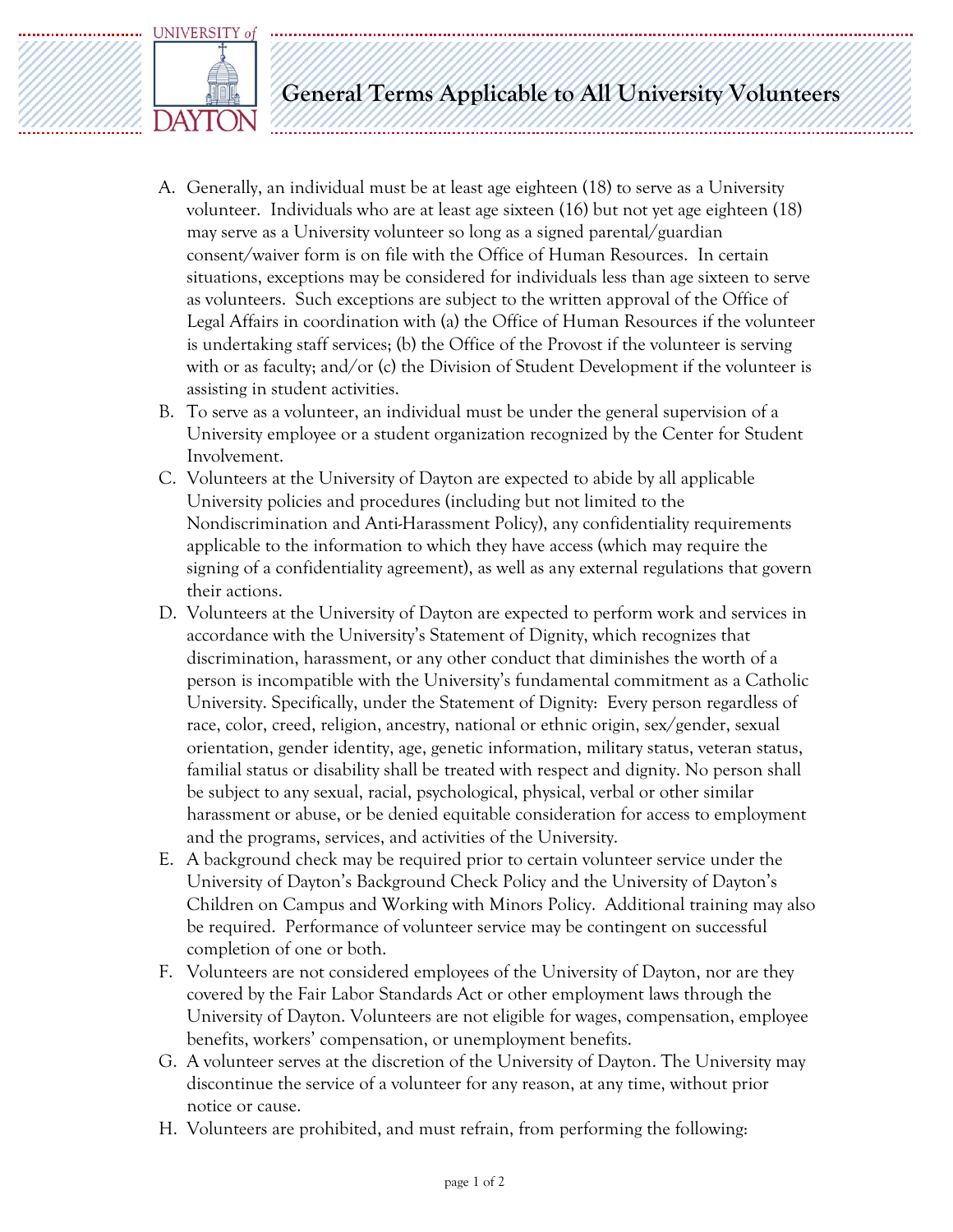

**General Terms Applicable to All University Volunteers**

- A. Generally, an individual must be at least age eighteen (18) to serve as a University volunteer. Individuals who are at least age sixteen (16) but not yet age eighteen (18) may serve as a University volunteer so long as a signed parental/guardian consent/waiver form is on file with the Office of Human Resources. In certain situations, exceptions may be considered for individuals less than age sixteen to serve as volunteers. Such exceptions are subject to the written approval of the Office of Legal Affairs in coordination with (a) the Office of Human Resources if the volunteer is undertaking staff services; (b) the Office of the Provost if the volunteer is serving with or as faculty; and/or (c) the Division of Student Development if the volunteer is assisting in student activities.
- B. To serve as a volunteer, an individual must be under the general supervision of a University employee or a student organization recognized by the Center for Student Involvement.
- C. Volunteers at the University of Dayton are expected to abide by all applicable University policies and procedures (including but not limited to the Nondiscrimination and Anti-Harassment Policy), any confidentiality requirements applicable to the information to which they have access (which may require the signing of a confidentiality agreement), as well as any external regulations that govern their actions.
- D. Volunteers at the University of Dayton are expected to perform work and services in accordance with the University's Statement of Dignity, which recognizes that discrimination, harassment, or any other conduct that diminishes the worth of a person is incompatible with the University's fundamental commitment as a Catholic University. Specifically, under the Statement of Dignity: Every person regardless of race, color, creed, religion, ancestry, national or ethnic origin, sex/gender, sexual orientation, gender identity, age, genetic information, military status, veteran status, familial status or disability shall be treated with respect and dignity. No person shall be subject to any sexual, racial, psychological, physical, verbal or other similar harassment or abuse, or be denied equitable consideration for access to employment and the programs, services, and activities of the University.
- E. A background check may be required prior to certain volunteer service under the University of Dayton's Background Check Policy and the University of Dayton's Children on Campus and Working with Minors Policy. Additional training may also be required. Performance of volunteer service may be contingent on successful completion of one or both.
- F. Volunteers are not considered employees of the University of Dayton, nor are they covered by the Fair Labor Standards Act or other employment laws through the University of Dayton. Volunteers are not eligible for wages, compensation, employee benefits, workers' compensation, or unemployment benefits.
- G. A volunteer serves at the discretion of the University of Dayton. The University may discontinue the service of a volunteer for any reason, at any time, without prior notice or cause.
- H. Volunteers are prohibited, and must refrain, from performing the following: